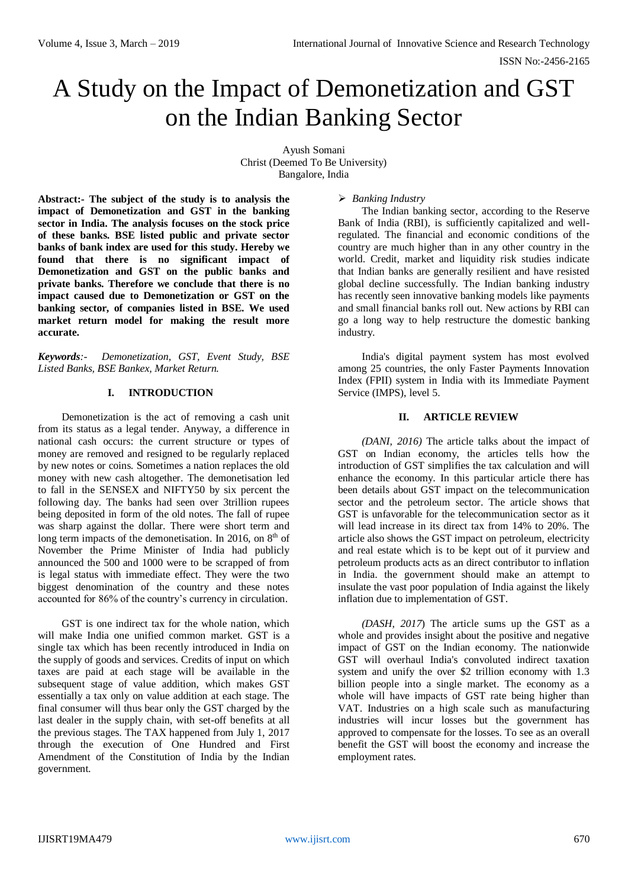# A Study on the Impact of Demonetization and GST on the Indian Banking Sector

Ayush Somani Christ (Deemed To Be University) Bangalore, India

**Abstract:- The subject of the study is to analysis the impact of Demonetization and GST in the banking sector in India. The analysis focuses on the stock price of these banks. BSE listed public and private sector banks of bank index are used for this study. Hereby we found that there is no significant impact of Demonetization and GST on the public banks and private banks. Therefore we conclude that there is no impact caused due to Demonetization or GST on the banking sector, of companies listed in BSE. We used market return model for making the result more accurate.** 

*Keywords:- Demonetization, GST, Event Study, BSE Listed Banks, BSE Bankex, Market Return.*

# **I. INTRODUCTION**

Demonetization is the act of removing a cash unit from its status as a legal tender. Anyway, a difference in national cash occurs: the current structure or types of money are removed and resigned to be regularly replaced by new notes or coins. Sometimes a nation replaces the old money with new cash altogether. The demonetisation led to fall in the SENSEX and NIFTY50 by six percent the following day. The banks had seen over 3trillion rupees being deposited in form of the old notes. The fall of rupee was sharp against the dollar. There were short term and long term impacts of the demonetisation. In 2016, on  $8<sup>th</sup>$  of November the Prime Minister of India had publicly announced the 500 and 1000 were to be scrapped of from is legal status with immediate effect. They were the two biggest denomination of the country and these notes accounted for 86% of the country's currency in circulation.

GST is one indirect tax for the whole nation, which will make India one unified common market. GST is a single tax which has been recently introduced in India on the supply of goods and services. Credits of input on which taxes are paid at each stage will be available in the subsequent stage of value addition, which makes GST essentially a tax only on value addition at each stage. The final consumer will thus bear only the GST charged by the last dealer in the supply chain, with set-off benefits at all the previous stages. The TAX happened from July 1, 2017 through the execution of One Hundred and First Amendment of the Constitution of India by the Indian government.

## *Banking Industry*

The Indian banking sector, according to the Reserve Bank of India (RBI), is sufficiently capitalized and wellregulated. The financial and economic conditions of the country are much higher than in any other country in the world. Credit, market and liquidity risk studies indicate that Indian banks are generally resilient and have resisted global decline successfully. The Indian banking industry has recently seen innovative banking models like payments and small financial banks roll out. New actions by RBI can go a long way to help restructure the domestic banking industry.

India's digital payment system has most evolved among 25 countries, the only Faster Payments Innovation Index (FPII) system in India with its Immediate Payment Service (IMPS), level 5.

## **II. ARTICLE REVIEW**

*(DANI, 2016)* The article talks about the impact of GST on Indian economy, the articles tells how the introduction of GST simplifies the tax calculation and will enhance the economy. In this particular article there has been details about GST impact on the telecommunication sector and the petroleum sector. The article shows that GST is unfavorable for the telecommunication sector as it will lead increase in its direct tax from 14% to 20%. The article also shows the GST impact on petroleum, electricity and real estate which is to be kept out of it purview and petroleum products acts as an direct contributor to inflation in India. the government should make an attempt to insulate the vast poor population of India against the likely inflation due to implementation of GST.

*(DASH, 2017*) The article sums up the GST as a whole and provides insight about the positive and negative impact of GST on the Indian economy. The nationwide GST will overhaul India's convoluted indirect taxation system and unify the over \$2 trillion economy with 1.3 billion people into a single market. The economy as a whole will have impacts of GST rate being higher than VAT. Industries on a high scale such as manufacturing industries will incur losses but the government has approved to compensate for the losses. To see as an overall benefit the GST will boost the economy and increase the employment rates.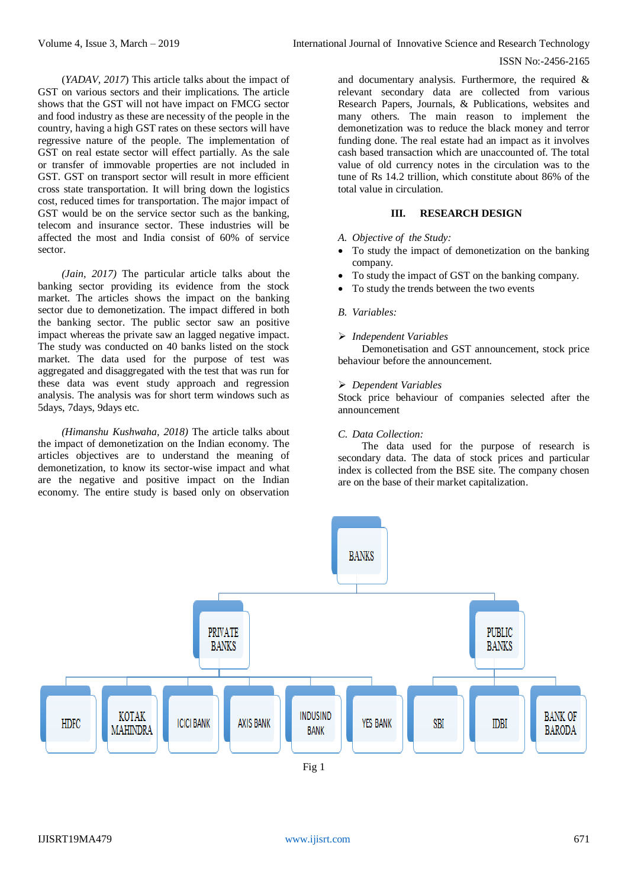(*YADAV, 2017*) This article talks about the impact of GST on various sectors and their implications. The article shows that the GST will not have impact on FMCG sector and food industry as these are necessity of the people in the country, having a high GST rates on these sectors will have regressive nature of the people. The implementation of GST on real estate sector will effect partially. As the sale or transfer of immovable properties are not included in GST. GST on transport sector will result in more efficient cross state transportation. It will bring down the logistics cost, reduced times for transportation. The major impact of GST would be on the service sector such as the banking, telecom and insurance sector. These industries will be affected the most and India consist of 60% of service sector.

*(Jain, 2017)* The particular article talks about the banking sector providing its evidence from the stock market. The articles shows the impact on the banking sector due to demonetization. The impact differed in both the banking sector. The public sector saw an positive impact whereas the private saw an lagged negative impact. The study was conducted on 40 banks listed on the stock market. The data used for the purpose of test was aggregated and disaggregated with the test that was run for these data was event study approach and regression analysis. The analysis was for short term windows such as 5days, 7days, 9days etc.

*(Himanshu Kushwaha, 2018)* The article talks about the impact of demonetization on the Indian economy. The articles objectives are to understand the meaning of demonetization, to know its sector-wise impact and what are the negative and positive impact on the Indian economy. The entire study is based only on observation and documentary analysis. Furthermore, the required  $\&$ relevant secondary data are collected from various Research Papers, Journals, & Publications, websites and many others. The main reason to implement the demonetization was to reduce the black money and terror funding done. The real estate had an impact as it involves cash based transaction which are unaccounted of. The total value of old currency notes in the circulation was to the tune of Rs 14.2 trillion, which constitute about 86% of the total value in circulation.

## **III. RESEARCH DESIGN**

- *A. Objective of the Study:*
- To study the impact of demonetization on the banking company.
- To study the impact of GST on the banking company.
- To study the trends between the two events
- *B. Variables:*

#### *Independent Variables*

Demonetisation and GST announcement, stock price behaviour before the announcement.

#### *Dependent Variables*

Stock price behaviour of companies selected after the announcement

#### *C. Data Collection:*

The data used for the purpose of research is secondary data. The data of stock prices and particular index is collected from the BSE site. The company chosen are on the base of their market capitalization.

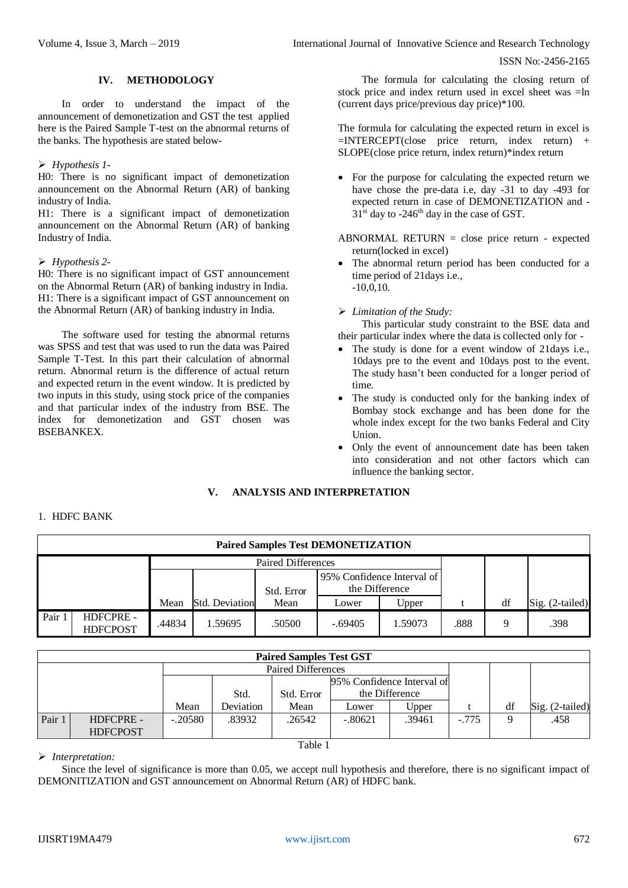# **IV. METHODOLOGY**

In order to understand the impact of the announcement of demonetization and GST the test applied here is the Paired Sample T-test on the abnormal returns of the banks. The hypothesis are stated below-

#### *Hypothesis 1-*

H0: There is no significant impact of demonetization announcement on the Abnormal Return (AR) of banking industry of India.

H1: There is a significant impact of demonetization announcement on the Abnormal Return (AR) of banking Industry of India.

#### *Hypothesis 2-*

H0: There is no significant impact of GST announcement on the Abnormal Return (AR) of banking industry in India. H1: There is a significant impact of GST announcement on the Abnormal Return (AR) of banking industry in India.

The software used for testing the abnormal returns was SPSS and test that was used to run the data was Paired Sample T-Test. In this part their calculation of abnormal return. Abnormal return is the difference of actual return and expected return in the event window. It is predicted by two inputs in this study, using stock price of the companies and that particular index of the industry from BSE. The index for demonetization and GST chosen was BSEBANKEX.

The formula for calculating the closing return of stock price and index return used in excel sheet was =ln (current days price/previous day price)\*100.

The formula for calculating the expected return in excel is  $=$ INTERCEPT(close price return, index return) + SLOPE(close price return, index return)\*index return

• For the purpose for calculating the expected return we have chose the pre-data i.e, day -31 to day -493 for expected return in case of DEMONETIZATION and -  $31<sup>st</sup>$  day to -246<sup>th</sup> day in the case of GST.

ABNORMAL RETURN  $=$  close price return - expected return(locked in excel)

 The abnormal return period has been conducted for a time period of 21days i.e.,  $-10,0,10.$ 

*Limitation of the Study:*

This particular study constraint to the BSE data and their particular index where the data is collected only for -

- The study is done for a event window of 21 days i.e., 10days pre to the event and 10days post to the event. The study hasn't been conducted for a longer period of time.
- The study is conducted only for the banking index of Bombay stock exchange and has been done for the whole index except for the two banks Federal and City Union.
- Only the event of announcement date has been taken into consideration and not other factors which can influence the banking sector.

## **V. ANALYSIS AND INTERPRETATION**

|        | <b>Paired Samples Test DEMONETIZATION</b> |        |                       |                           |                |                            |      |    |                 |  |  |  |  |  |
|--------|-------------------------------------------|--------|-----------------------|---------------------------|----------------|----------------------------|------|----|-----------------|--|--|--|--|--|
|        |                                           |        |                       | <b>Paired Differences</b> |                |                            |      |    |                 |  |  |  |  |  |
|        |                                           |        |                       | Std. Error                | the Difference | 95% Confidence Interval of |      |    |                 |  |  |  |  |  |
|        |                                           | Mean   | <b>Std. Deviation</b> | Mean                      | Lower          | Upper                      |      | df | Sig. (2-tailed) |  |  |  |  |  |
| Pair 1 | HDFCPRE -<br><b>HDFCPOST</b>              | .44834 | 1.59695               | .50500                    | $-.69405$      | 1.59073                    | .888 | Q  | .398            |  |  |  |  |  |

|        |                                      |           |           | <b>Paired Samples Test GST</b> |                            |        |         |             |                 |
|--------|--------------------------------------|-----------|-----------|--------------------------------|----------------------------|--------|---------|-------------|-----------------|
|        |                                      |           |           | <b>Paired Differences</b>      |                            |        |         |             |                 |
|        |                                      |           |           |                                | 95% Confidence Interval of |        |         |             |                 |
|        | the Difference<br>Std.<br>Std. Error |           |           |                                |                            |        |         |             |                 |
|        |                                      | Mean      | Deviation | Mean                           | Lower                      | Upper  |         | df          | Sig. (2-tailed) |
| Pair 1 | HDFCPRE -                            | $-.20580$ | .83932    | .26542                         | $-.80621$                  | .39461 | $-.775$ | $\mathbf Q$ | .458            |
|        | <b>HDFCPOST</b>                      |           |           |                                |                            |        |         |             |                 |
|        |                                      |           |           | Table 1                        |                            |        |         |             |                 |

#### *Interpretation:*

1. HDFC BANK

Since the level of significance is more than 0.05, we accept null hypothesis and therefore, there is no significant impact of DEMONITIZATION and GST announcement on Abnormal Return (AR) of HDFC bank.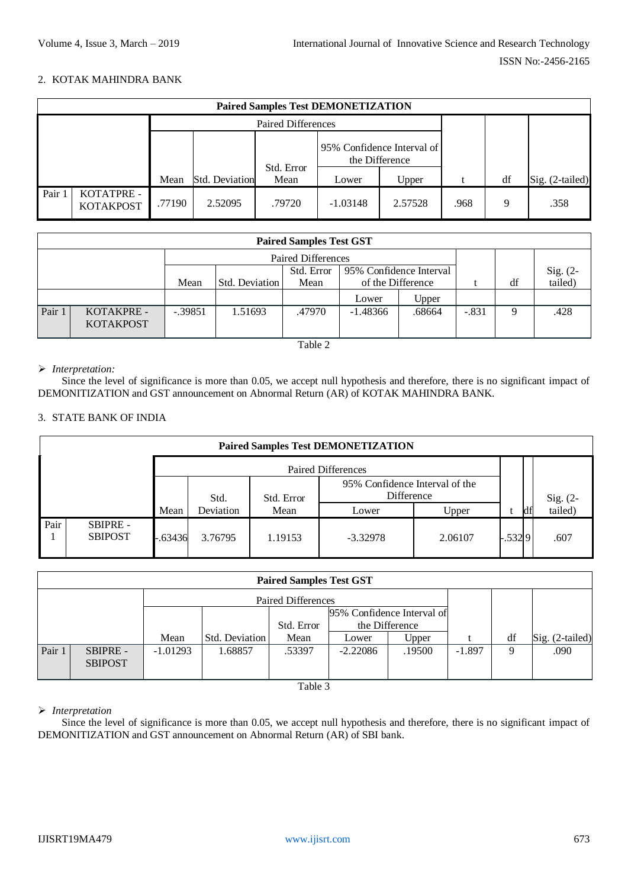## 2. KOTAK MAHINDRA BANK

|      | <b>Paired Samples Test DEMONETIZATION</b> |        |                |                           |            |                                              |      |    |                 |  |  |  |  |  |  |
|------|-------------------------------------------|--------|----------------|---------------------------|------------|----------------------------------------------|------|----|-----------------|--|--|--|--|--|--|
|      |                                           |        |                | <b>Paired Differences</b> |            |                                              |      |    |                 |  |  |  |  |  |  |
|      |                                           |        |                |                           |            | 95% Confidence Interval of<br>the Difference |      |    |                 |  |  |  |  |  |  |
|      |                                           | Mean   | Std. Deviation | Std. Error<br>Mean        | Lower      | Upper                                        |      | df | Sig. (2-tailed) |  |  |  |  |  |  |
| Pair | KOTATPRE -<br><b>KOTAKPOST</b>            | .77190 | 2.52095        | .79720                    | $-1.03148$ | 2.57528                                      | .968 | Q  | .358            |  |  |  |  |  |  |

|        |                                                                                          |                |                | <b>Paired Differences</b> |                   |  |         |    |                     |
|--------|------------------------------------------------------------------------------------------|----------------|----------------|---------------------------|-------------------|--|---------|----|---------------------|
|        | 95% Confidence Interval<br>Std. Error                                                    |                |                |                           |                   |  |         |    | Sig. (2-<br>tailed) |
|        |                                                                                          | Mean           | Std. Deviation | Mean                      | of the Difference |  |         | df |                     |
|        |                                                                                          | Upper<br>Lower |                |                           |                   |  |         |    |                     |
| Pair 1 | $-.39851$<br>KOTAKPRE -<br>$-1.48366$<br>1.51693<br>.47970<br>.68664<br><b>KOTAKPOST</b> |                |                |                           |                   |  | $-.831$ | 9  | .428                |

#### Table 2

## *Interpretation:*

Since the level of significance is more than 0.05, we accept null hypothesis and therefore, there is no significant impact of DEMONITIZATION and GST announcement on Abnormal Return (AR) of KOTAK MAHINDRA BANK.

#### 3. STATE BANK OF INDIA

| <b>Paired Samples Test DEMONETIZATION</b> |                                             |         |         |            |                                              |         |          |  |                     |  |  |
|-------------------------------------------|---------------------------------------------|---------|---------|------------|----------------------------------------------|---------|----------|--|---------------------|--|--|
|                                           |                                             |         |         |            | <b>Paired Differences</b>                    |         |          |  |                     |  |  |
|                                           |                                             |         | Std.    | Std. Error | 95% Confidence Interval of the<br>Difference |         |          |  |                     |  |  |
|                                           | Deviation<br>Mean<br>Mean<br>Upper<br>Lower |         |         |            |                                              |         |          |  | Sig. (2-<br>tailed) |  |  |
| Pair                                      | SBIPRE -<br><b>SBIPOST</b>                  | -.63436 | 3.76795 | 1.19153    | $-3.32978$                                   | 2.06107 | $-.5329$ |  | .607                |  |  |

|        | <b>Paired Samples Test GST</b>    |            |                           |        |            |        |          |    |                 |  |  |  |  |
|--------|-----------------------------------|------------|---------------------------|--------|------------|--------|----------|----|-----------------|--|--|--|--|
|        |                                   |            | <b>Paired Differences</b> |        |            |        |          |    |                 |  |  |  |  |
|        | 95% Confidence Interval of        |            |                           |        |            |        |          |    |                 |  |  |  |  |
|        | the Difference<br>Std. Error      |            |                           |        |            |        |          |    |                 |  |  |  |  |
|        |                                   | Mean       | Std. Deviation            | Mean   | Lower      | Upper  |          | df | Sig. (2-tailed) |  |  |  |  |
| Pair 1 | <b>SBIPRE -</b><br><b>SBIPOST</b> | $-1.01293$ | 1.68857                   | .53397 | $-2.22086$ | .19500 | $-1.897$ | 9  | .090            |  |  |  |  |

Table 3

#### *Interpretation*

Since the level of significance is more than 0.05, we accept null hypothesis and therefore, there is no significant impact of DEMONITIZATION and GST announcement on Abnormal Return (AR) of SBI bank.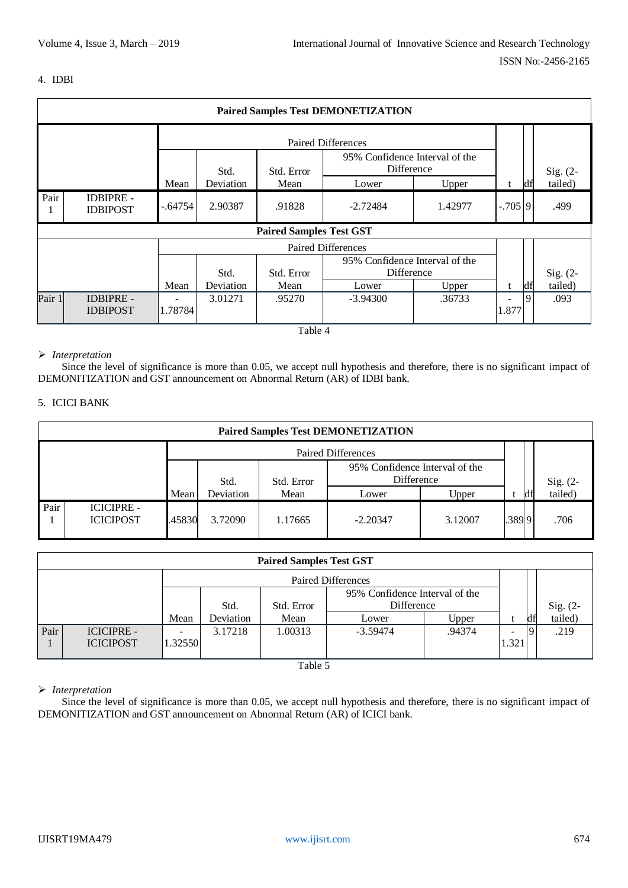#### 4. IDBI

|        | <b>Paired Samples Test DEMONETIZATION</b>                          |           |         |                                |                                              |                 |       |      |          |  |  |  |  |  |
|--------|--------------------------------------------------------------------|-----------|---------|--------------------------------|----------------------------------------------|-----------------|-------|------|----------|--|--|--|--|--|
|        |                                                                    |           |         |                                | <b>Paired Differences</b>                    |                 |       |      |          |  |  |  |  |  |
|        | 95% Confidence Interval of the<br>Difference<br>Std. Error<br>Std. |           |         |                                |                                              |                 |       |      | Sig. (2- |  |  |  |  |  |
|        | Mean<br>Mean<br>Deviation<br>Upper<br>Lower                        |           |         |                                |                                              |                 |       |      |          |  |  |  |  |  |
| Pair   | <b>IDBIPRE -</b><br><b>IDBIPOST</b>                                | $-.64754$ | 2.90387 | $-2.72484$                     | 1.42977                                      | $-.705$ 9       |       | .499 |          |  |  |  |  |  |
|        |                                                                    |           |         | <b>Paired Samples Test GST</b> |                                              |                 |       |      |          |  |  |  |  |  |
|        |                                                                    |           |         |                                | <b>Paired Differences</b>                    |                 |       |      |          |  |  |  |  |  |
|        |                                                                    |           | Std.    | Std. Error                     | 95% Confidence Interval of the<br>Difference |                 |       |      | Sig. (2- |  |  |  |  |  |
|        | t                                                                  | df        | tailed) |                                |                                              |                 |       |      |          |  |  |  |  |  |
| Pair 1 | <b>IDBIPRE -</b><br><b>IDBIPOST</b>                                | 1.78784   | 3.01271 | .95270                         | $-3.94300$                                   | Upper<br>.36733 | 1.877 | 9    | .093     |  |  |  |  |  |

Table 4

#### *Interpretation*

Since the level of significance is more than 0.05, we accept null hypothesis and therefore, there is no significant impact of DEMONITIZATION and GST announcement on Abnormal Return (AR) of IDBI bank.

## 5. ICICI BANK

|      | <b>Paired Samples Test DEMONETIZATION</b>   |        |                           |            |                                              |         |       |  |                     |  |  |  |  |
|------|---------------------------------------------|--------|---------------------------|------------|----------------------------------------------|---------|-------|--|---------------------|--|--|--|--|
|      |                                             |        | <b>Paired Differences</b> |            |                                              |         |       |  |                     |  |  |  |  |
|      |                                             |        | Std.                      | Std. Error | 95% Confidence Interval of the<br>Difference |         |       |  |                     |  |  |  |  |
|      | Deviation<br>Mean<br>Mean<br>Upper<br>Lower |        |                           |            |                                              |         |       |  | Sig. (2-<br>tailed) |  |  |  |  |
| Pair | <b>ICICIPRE -</b><br><b>ICICIPOST</b>       | .45830 | 3.72090                   | 1.17665    | $-2.20347$                                   | 3.12007 | .3899 |  | .706                |  |  |  |  |

|      | <b>Paired Samples Test GST</b>        |         |           |            |                                              |        |       |    |                     |  |  |  |  |
|------|---------------------------------------|---------|-----------|------------|----------------------------------------------|--------|-------|----|---------------------|--|--|--|--|
|      | <b>Paired Differences</b>             |         |           |            |                                              |        |       |    |                     |  |  |  |  |
|      |                                       |         | Std.      | Std. Error | 95% Confidence Interval of the<br>Difference |        |       |    |                     |  |  |  |  |
|      |                                       | Mean    | Deviation | Mean       | Lower                                        | Upper  |       | df | Sig. (2-<br>tailed) |  |  |  |  |
| Pair | <b>ICICIPRE -</b><br><b>ICICIPOST</b> | 1.32550 | 3.17218   | 1.00313    | $-3.59474$                                   | .94374 | 1.321 | 9  | .219                |  |  |  |  |

Table 5

# *Interpretation*

Since the level of significance is more than 0.05, we accept null hypothesis and therefore, there is no significant impact of DEMONITIZATION and GST announcement on Abnormal Return (AR) of ICICI bank.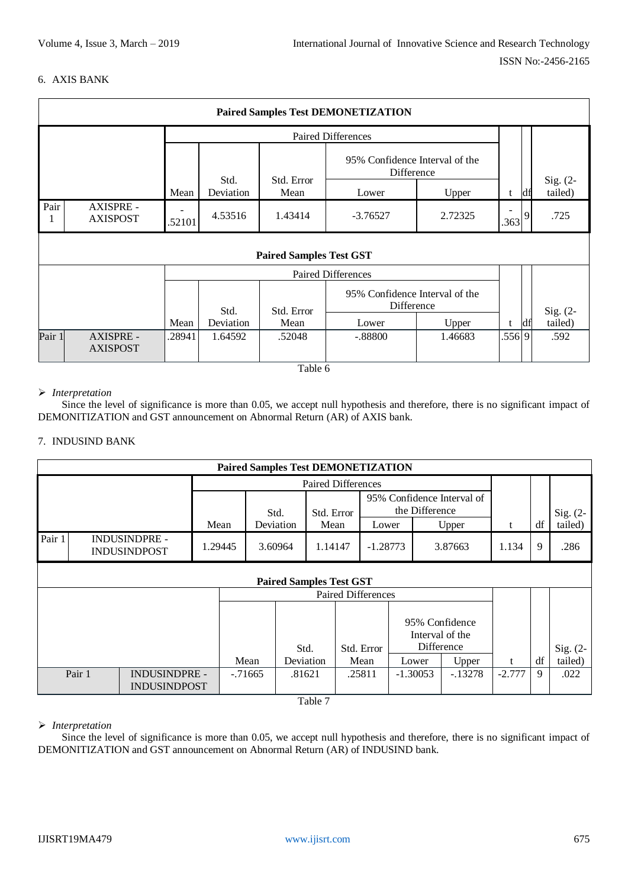# 6. AXIS BANK

| <b>Paired Samples Test DEMONETIZATION</b>   |                                                                   |                |                                |                                              |         |        |    |            |  |  |  |  |
|---------------------------------------------|-------------------------------------------------------------------|----------------|--------------------------------|----------------------------------------------|---------|--------|----|------------|--|--|--|--|
|                                             |                                                                   |                |                                | <b>Paired Differences</b>                    |         |        |    |            |  |  |  |  |
|                                             |                                                                   |                |                                | 95% Confidence Interval of the<br>Difference |         |        |    | Sig. $(2-$ |  |  |  |  |
|                                             | Std. Error<br>Std.<br>Deviation<br>Mean<br>Mean<br>Upper<br>Lower |                |                                |                                              |         |        |    |            |  |  |  |  |
| Pair<br><b>AXISPRE -</b><br><b>AXISPOST</b> | .363                                                              | $\overline{9}$ | .725                           |                                              |         |        |    |            |  |  |  |  |
|                                             |                                                                   |                | <b>Paired Samples Test GST</b> |                                              |         |        |    |            |  |  |  |  |
|                                             |                                                                   |                |                                | Paired Differences                           |         |        |    |            |  |  |  |  |
|                                             |                                                                   | Std.           | Std. Error                     | 95% Confidence Interval of the<br>Difference |         |        |    | Sig. (2-   |  |  |  |  |
|                                             | Mean                                                              | Deviation      | Mean                           | Lower                                        | Upper   | t      | df | tailed)    |  |  |  |  |
| Pair 1<br>AXISPRE -<br><b>AXISPOST</b>      | .28941                                                            | 1.64592        | .52048                         | $-.88800$                                    | 1.46683 | .556 9 |    | .592       |  |  |  |  |
|                                             |                                                                   |                | $T_{\rm b}$ 1.1. $\epsilon$    |                                              |         |        |    |            |  |  |  |  |

Table 6

## *Interpretation*

Since the level of significance is more than 0.05, we accept null hypothesis and therefore, there is no significant impact of DEMONITIZATION and GST announcement on Abnormal Return (AR) of AXIS bank.

## 7. INDUSIND BANK

|        |                                             |      |         |            |           | <b>Paired Samples Test DEMONETIZATION</b> |                           |                                              |                                                 |          |    |            |
|--------|---------------------------------------------|------|---------|------------|-----------|-------------------------------------------|---------------------------|----------------------------------------------|-------------------------------------------------|----------|----|------------|
|        |                                             |      |         |            |           | <b>Paired Differences</b>                 |                           |                                              |                                                 |          |    |            |
|        |                                             |      |         | Std.       |           | Std. Error                                |                           | 95% Confidence Interval of<br>the Difference |                                                 |          |    | Sig. $(2-$ |
|        |                                             | Mean |         |            | Deviation | Mean                                      | Lower                     |                                              | Upper                                           | t        | df | tailed)    |
| Pair 1 | <b>INDUSINDPRE -</b><br><b>INDUSINDPOST</b> |      | 1.29445 |            | 3.60964   | 1.14147                                   | $-1.28773$                |                                              | 3.87663                                         | 1.134    | 9  | .286       |
|        |                                             |      |         |            |           | <b>Paired Samples Test GST</b>            |                           |                                              |                                                 |          |    |            |
|        |                                             |      |         |            |           |                                           | <b>Paired Differences</b> |                                              |                                                 |          |    |            |
|        |                                             |      |         |            |           | Std.                                      | Std. Error                |                                              | 95% Confidence<br>Interval of the<br>Difference |          |    | Sig. (2-   |
|        |                                             |      |         | Mean       |           | Deviation                                 | Mean                      | Lower                                        | Upper                                           | t        | df | tailed)    |
| Pair 1 | <b>INDUSINDPRE -</b><br><b>INDUSINDPOST</b> |      |         | $-0.71665$ |           | .81621                                    | .25811                    | $-1.30053$                                   | $-.13278$                                       | $-2.777$ | 9  | .022       |
|        |                                             |      |         |            |           | Table 7                                   |                           |                                              |                                                 |          |    |            |

*Interpretation*

Since the level of significance is more than 0.05, we accept null hypothesis and therefore, there is no significant impact of DEMONITIZATION and GST announcement on Abnormal Return (AR) of INDUSIND bank.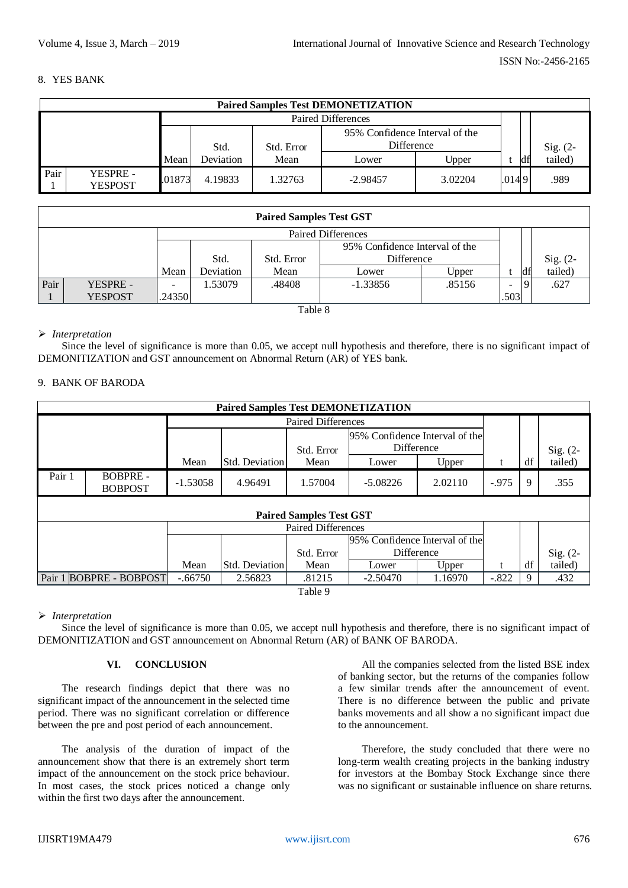### 8. YES BANK

|                                                                                                    | <b>Paired Samples Test DEMONETIZATION</b> |      |           |            |                                                     |       |  |    |            |  |  |  |  |
|----------------------------------------------------------------------------------------------------|-------------------------------------------|------|-----------|------------|-----------------------------------------------------|-------|--|----|------------|--|--|--|--|
|                                                                                                    |                                           |      |           |            | <b>Paired Differences</b>                           |       |  |    |            |  |  |  |  |
|                                                                                                    |                                           |      | Std.      | Std. Error | 95% Confidence Interval of the<br><b>Difference</b> |       |  |    | Sig. $(2-$ |  |  |  |  |
|                                                                                                    |                                           | Mean | Deviation | Mean       | Lower                                               | Upper |  | df | tailed)    |  |  |  |  |
| Pair<br><b>YESPRE -</b><br>.01873<br>4.19833<br>1.32763<br>3.02204<br>$-2.98457$<br><b>YESPOST</b> |                                           |      |           |            |                                                     |       |  |    | .989       |  |  |  |  |

| <b>Paired Samples Test GST</b> |                |        |           |            |                                |        |      |    |                     |  |  |
|--------------------------------|----------------|--------|-----------|------------|--------------------------------|--------|------|----|---------------------|--|--|
| <b>Paired Differences</b>      |                |        |           |            |                                |        |      |    |                     |  |  |
|                                |                |        |           |            | 95% Confidence Interval of the |        |      |    |                     |  |  |
|                                |                |        | Std.      | Std. Error | Difference                     |        |      |    | Sig. (2-<br>tailed) |  |  |
|                                |                | Mean   | Deviation | Mean       | Lower                          | Upper  |      | df |                     |  |  |
| Pair                           | YESPRE -       |        | 1.53079   | .48408     | $-1.33856$                     | .85156 |      |    | .627                |  |  |
|                                | <b>YESPOST</b> | .24350 |           |            |                                |        | .503 |    |                     |  |  |

Table 8

#### *Interpretation*

Since the level of significance is more than 0.05, we accept null hypothesis and therefore, there is no significant impact of DEMONITIZATION and GST announcement on Abnormal Return (AR) of YES bank.

# 9. BANK OF BARODA

| <b>Paired Samples Test DEMONETIZATION</b> |                                  |            |                |            |                                              |         |         |    |            |  |  |
|-------------------------------------------|----------------------------------|------------|----------------|------------|----------------------------------------------|---------|---------|----|------------|--|--|
| <b>Paired Differences</b>                 |                                  |            |                |            |                                              |         |         |    |            |  |  |
|                                           |                                  |            |                | Std. Error | 95% Confidence Interval of the<br>Difference |         |         |    | $Sig. (2-$ |  |  |
|                                           |                                  | Mean       | Std. Deviation | Mean       | Lower                                        | Upper   | t       | df | tailed)    |  |  |
| Pair 1                                    | <b>BOBPRE-</b><br><b>BOBPOST</b> | $-1.53058$ | 4.96491        | 1.57004    | $-5.08226$                                   | 2.02110 | $-.975$ | 9  | .355       |  |  |
| <b>Paired Samples Test GST</b>            |                                  |            |                |            |                                              |         |         |    |            |  |  |
| <b>Paired Differences</b>                 |                                  |            |                |            |                                              |         |         |    |            |  |  |
|                                           |                                  |            |                |            | 95% Confidence Interval of the               |         |         |    |            |  |  |
|                                           |                                  |            |                | Std. Error | Difference                                   |         |         |    | Sig. (2-   |  |  |
|                                           |                                  | Mean       | Std. Deviation | Mean       | Lower                                        | Upper   |         | df | tailed)    |  |  |
| Pair 1 BOBPRE - BOBPOST                   |                                  | $-.66750$  | 2.56823        | .81215     | $-2.50470$                                   | 1.16970 | $-.822$ | 9  | .432       |  |  |

Table 9

# *Interpretation*

Since the level of significance is more than 0.05, we accept null hypothesis and therefore, there is no significant impact of DEMONITIZATION and GST announcement on Abnormal Return (AR) of BANK OF BARODA.

# **VI. CONCLUSION**

The research findings depict that there was no significant impact of the announcement in the selected time period. There was no significant correlation or difference between the pre and post period of each announcement.

The analysis of the duration of impact of the announcement show that there is an extremely short term impact of the announcement on the stock price behaviour. In most cases, the stock prices noticed a change only within the first two days after the announcement.

All the companies selected from the listed BSE index of banking sector, but the returns of the companies follow a few similar trends after the announcement of event. There is no difference between the public and private banks movements and all show a no significant impact due to the announcement.

Therefore, the study concluded that there were no long-term wealth creating projects in the banking industry for investors at the Bombay Stock Exchange since there was no significant or sustainable influence on share returns.